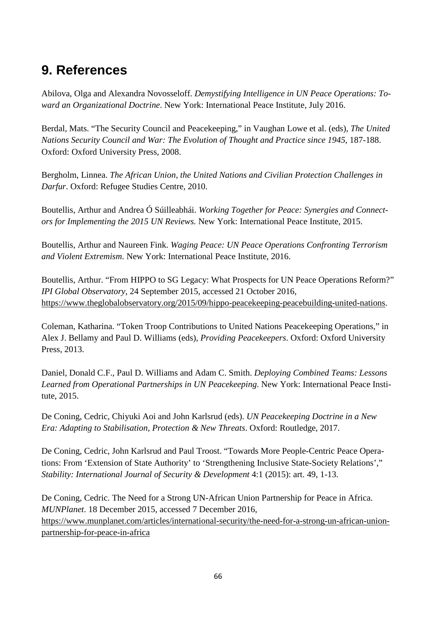## **9. References**

Abilova, Olga and Alexandra Novosseloff. *Demystifying Intelligence in UN Peace Operations: Toward an Organizational Doctrine*. New York: International Peace Institute, July 2016.

Berdal, Mats. "The Security Council and Peacekeeping," in Vaughan Lowe et al. (eds), *The United Nations Security Council and War: The Evolution of Thought and Practice since 1945*, 187-188. Oxford: Oxford University Press, 2008.

Bergholm, Linnea. *The African Union, the United Nations and Civilian Protection Challenges in Darfur*. Oxford: Refugee Studies Centre, 2010.

Boutellis, Arthur and Andrea Ó Súilleabhái. *Working Together for Peace: Synergies and Connectors for Implementing the 2015 UN Reviews.* New York: International Peace Institute, 2015.

Boutellis, Arthur and Naureen Fink. *Waging Peace: UN Peace Operations Confronting Terrorism and Violent Extremism*. New York: International Peace Institute, 2016.

Boutellis, Arthur. "From HIPPO to SG Legacy: What Prospects for UN Peace Operations Reform?" *IPI Global Observatory*, 24 September 2015, accessed 21 October 2016, https://www.theglobalobservatory.org/2015/09/hippo-peacekeeping-peacebuilding-united-nations.

Coleman, Katharina. "Token Troop Contributions to United Nations Peacekeeping Operations," in Alex J. Bellamy and Paul D. Williams (eds), *Providing Peacekeepers*. Oxford: Oxford University Press, 2013.

Daniel, Donald C.F., Paul D. Williams and Adam C. Smith. *Deploying Combined Teams: Lessons Learned from Operational Partnerships in UN Peacekeeping*. New York: International Peace Institute, 2015.

De Coning, Cedric, Chiyuki Aoi and John Karlsrud (eds). *UN Peacekeeping Doctrine in a New Era: Adapting to Stabilisation, Protection & New Threats*. Oxford: Routledge, 2017.

De Coning, Cedric, John Karlsrud and Paul Troost. "Towards More People-Centric Peace Operations: From 'Extension of State Authority' to 'Strengthening Inclusive State-Society Relations'," *Stability: International Journal of Security & Development* 4:1 (2015): art. 49, 1-13.

De Coning, Cedric. The Need for a Strong UN-African Union Partnership for Peace in Africa. *MUNPlanet*. 18 December 2015, accessed 7 December 2016, https://www.munplanet.com/articles/international-security/the-need-for-a-strong-un-african-unionpartnership-for-peace-in-africa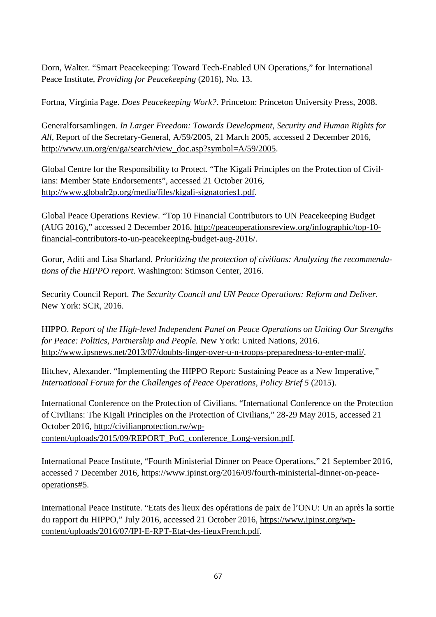Dorn, Walter. "Smart Peacekeeping: Toward Tech-Enabled UN Operations," for International Peace Institute*, Providing for Peacekeeping* (2016), No. 13.

Fortna, Virginia Page. *Does Peacekeeping Work?*. Princeton: Princeton University Press, 2008.

Generalforsamlingen. *In Larger Freedom: Towards Development, Security and Human Rights for All,* Report of the Secretary-General, A/59/2005, 21 March 2005, accessed 2 December 2016, http://www.un.org/en/ga/search/view\_doc.asp?symbol=A/59/2005.

Global Centre for the Responsibility to Protect. "The Kigali Principles on the Protection of Civilians: Member State Endorsements", accessed 21 October 2016, http://www.globalr2p.org/media/files/kigali-signatories1.pdf.

Global Peace Operations Review. "Top 10 Financial Contributors to UN Peacekeeping Budget (AUG 2016)," accessed 2 December 2016, http://peaceoperationsreview.org/infographic/top-10 financial-contributors-to-un-peacekeeping-budget-aug-2016/.

Gorur, Aditi and Lisa Sharland. *Prioritizing the protection of civilians: Analyzing the recommendations of the HIPPO report*. Washington: Stimson Center, 2016.

Security Council Report. *The Security Council and UN Peace Operations: Reform and Deliver*. New York: SCR, 2016.

HIPPO. *Report of the High-level Independent Panel on Peace Operations on Uniting Our Strengths for Peace: Politics, Partnership and People.* New York: United Nations, 2016. http://www.ipsnews.net/2013/07/doubts-linger-over-u-n-troops-preparedness-to-enter-mali/.

Ilitchev, Alexander. "Implementing the HIPPO Report: Sustaining Peace as a New Imperative," *International Forum for the Challenges of Peace Operations, Policy Brief 5* (2015).

International Conference on the Protection of Civilians. "International Conference on the Protection of Civilians: The Kigali Principles on the Protection of Civilians," 28-29 May 2015, accessed 21 October 2016, http://civilianprotection.rw/wpcontent/uploads/2015/09/REPORT\_PoC\_conference\_Long-version.pdf.

International Peace Institute, "Fourth Ministerial Dinner on Peace Operations," 21 September 2016, accessed 7 December 2016, https://www.ipinst.org/2016/09/fourth-ministerial-dinner-on-peaceoperations#5.

International Peace Institute. "Etats des lieux des opérations de paix de l'ONU: Un an après la sortie du rapport du HIPPO," July 2016, accessed 21 October 2016, https://www.ipinst.org/wpcontent/uploads/2016/07/IPI-E-RPT-Etat-des-lieuxFrench.pdf.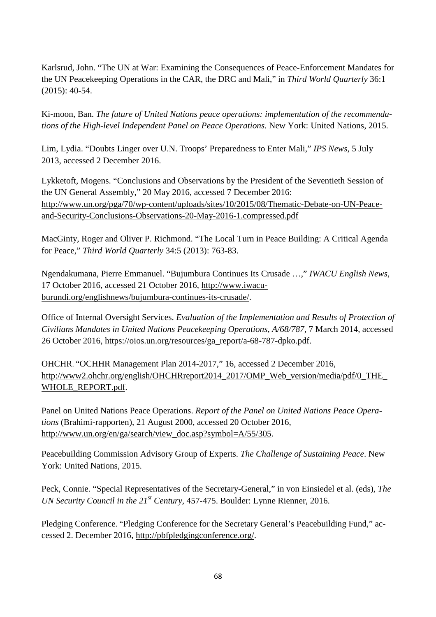Karlsrud, John. "The UN at War: Examining the Consequences of Peace-Enforcement Mandates for the UN Peacekeeping Operations in the CAR, the DRC and Mali," in *Third World Quarterly* 36:1 (2015): 40-54.

Ki-moon, Ban. *The future of United Nations peace operations: implementation of the recommendations of the High-level Independent Panel on Peace Operations.* New York: United Nations, 2015.

Lim, Lydia. "Doubts Linger over U.N. Troops' Preparedness to Enter Mali," *IPS News*, 5 July 2013, accessed 2 December 2016.

Lykketoft, Mogens. "Conclusions and Observations by the President of the Seventieth Session of the UN General Assembly," 20 May 2016, accessed 7 December 2016: http://www.un.org/pga/70/wp-content/uploads/sites/10/2015/08/Thematic-Debate-on-UN-Peaceand-Security-Conclusions-Observations-20-May-2016-1.compressed.pdf

MacGinty, Roger and Oliver P. Richmond. "The Local Turn in Peace Building: A Critical Agenda for Peace," *Third World Quarterly* 34:5 (2013): 763-83.

Ngendakumana, Pierre Emmanuel. "Bujumbura Continues Its Crusade …," *IWACU English News*, 17 October 2016, accessed 21 October 2016, http://www.iwacuburundi.org/englishnews/bujumbura-continues-its-crusade/.

Office of Internal Oversight Services. *Evaluation of the Implementation and Results of Protection of Civilians Mandates in United Nations Peacekeeping Operations, A/68/787,* 7 March 2014, accessed 26 October 2016, https://oios.un.org/resources/ga\_report/a-68-787-dpko.pdf.

OHCHR. "OCHHR Management Plan 2014-2017," 16, accessed 2 December 2016, http://www2.ohchr.org/english/OHCHRreport2014\_2017/OMP\_Web\_version/media/pdf/0\_THE\_ WHOLE\_REPORT.pdf.

Panel on United Nations Peace Operations. *Report of the Panel on United Nations Peace Operations* (Brahimi-rapporten), 21 August 2000, accessed 20 October 2016, http://www.un.org/en/ga/search/view\_doc.asp?symbol=A/55/305.

Peacebuilding Commission Advisory Group of Experts. *The Challenge of Sustaining Peace*. New York: United Nations, 2015.

Peck, Connie. "Special Representatives of the Secretary-General," in von Einsiedel et al. (eds), *The UN Security Council in the 21st Century*, 457-475. Boulder: Lynne Rienner, 2016.

Pledging Conference. "Pledging Conference for the Secretary General's Peacebuilding Fund," accessed 2. December 2016, http://pbfpledgingconference.org/.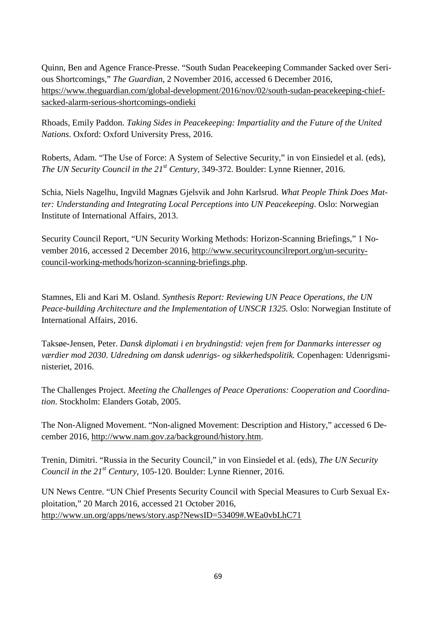Quinn, Ben and Agence France-Presse. "South Sudan Peacekeeping Commander Sacked over Serious Shortcomings," *The Guardian,* 2 November 2016*,* accessed 6 December 2016, https://www.theguardian.com/global-development/2016/nov/02/south-sudan-peacekeeping-chiefsacked-alarm-serious-shortcomings-ondieki

Rhoads, Emily Paddon. *Taking Sides in Peacekeeping: Impartiality and the Future of the United Nations*. Oxford: Oxford University Press, 2016.

Roberts, Adam. "The Use of Force: A System of Selective Security," in von Einsiedel et al. (eds), *The UN Security Council in the 21st Century,* 349-372. Boulder: Lynne Rienner, 2016.

Schia, Niels Nagelhu, Ingvild Magnæs Gjelsvik and John Karlsrud. *What People Think Does Matter: Understanding and Integrating Local Perceptions into UN Peacekeeping*. Oslo: Norwegian Institute of International Affairs, 2013.

Security Council Report, "UN Security Working Methods: Horizon-Scanning Briefings," 1 November 2016, accessed 2 December 2016, http://www.securitycouncilreport.org/un-securitycouncil-working-methods/horizon-scanning-briefings.php.

Stamnes, Eli and Kari M. Osland. *Synthesis Report: Reviewing UN Peace Operations, the UN Peace-building Architecture and the Implementation of UNSCR 1325.* Oslo: Norwegian Institute of International Affairs, 2016.

Taksøe-Jensen, Peter. *Dansk diplomati i en brydningstid: vejen frem for Danmarks interesser og værdier mod 2030*. *Udredning om dansk udenrigs- og sikkerhedspolitik.* Copenhagen: Udenrigsministeriet, 2016.

The Challenges Project. *Meeting the Challenges of Peace Operations: Cooperation and Coordination*. Stockholm: Elanders Gotab, 2005.

The Non-Aligned Movement. "Non-aligned Movement: Description and History," accessed 6 December 2016, http://www.nam.gov.za/background/history.htm.

Trenin, Dimitri. "Russia in the Security Council," in von Einsiedel et al. (eds), *The UN Security Council in the 21st Century*, 105-120. Boulder: Lynne Rienner, 2016.

UN News Centre. "UN Chief Presents Security Council with Special Measures to Curb Sexual Exploitation," 20 March 2016, accessed 21 October 2016, http://www.un.org/apps/news/story.asp?NewsID=53409#.WEa0vbLhC71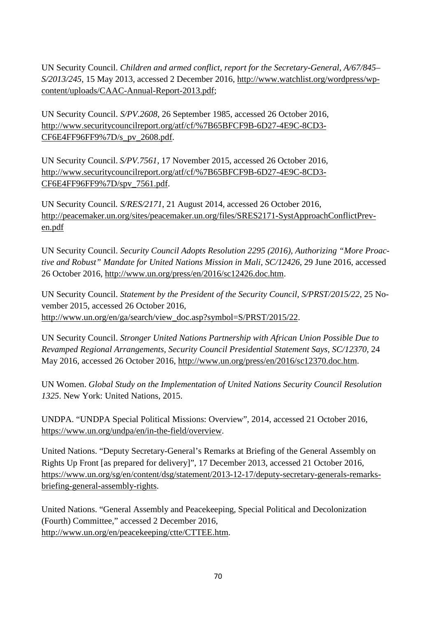UN Security Council. *Children and armed conflict, report for the Secretary-General, A/67/845– S/2013/245*, 15 May 2013, accessed 2 December 2016, http://www.watchlist.org/wordpress/wpcontent/uploads/CAAC-Annual-Report-2013.pdf;

UN Security Council. *S/PV.2608*, 26 September 1985, accessed 26 October 2016, http://www.securitycouncilreport.org/atf/cf/%7B65BFCF9B-6D27-4E9C-8CD3- CF6E4FF96FF9%7D/s\_pv\_2608.pdf.

UN Security Council. *S/PV.7561,* 17 November 2015, accessed 26 October 2016, http://www.securitycouncilreport.org/atf/cf/%7B65BFCF9B-6D27-4E9C-8CD3- CF6E4FF96FF9%7D/spv\_7561.pdf.

UN Security Council*. S/RES/2171*, 21 August 2014, accessed 26 October 2016, http://peacemaker.un.org/sites/peacemaker.un.org/files/SRES2171-SystApproachConflictPreven.pdf

UN Security Council. *Security Council Adopts Resolution 2295 (2016), Authorizing "More Proactive and Robust" Mandate for United Nations Mission in Mali, SC/12426,* 29 June 2016, accessed 26 October 2016, http://www.un.org/press/en/2016/sc12426.doc.htm.

UN Security Council. *Statement by the President of the Security Council*, *S/PRST/2015/22*, 25 November 2015, accessed 26 October 2016, http://www.un.org/en/ga/search/view\_doc.asp?symbol=S/PRST/2015/22.

UN Security Council. *Stronger United Nations Partnership with African Union Possible Due to Revamped Regional Arrangements, Security Council Presidential Statement Says, SC/12370*, 24 May 2016, accessed 26 October 2016, http://www.un.org/press/en/2016/sc12370.doc.htm.

UN Women. *Global Study on the Implementation of United Nations Security Council Resolution 1325*. New York: United Nations, 2015.

UNDPA. "UNDPA Special Political Missions: Overview", 2014, accessed 21 October 2016, https://www.un.org/undpa/en/in-the-field/overview.

United Nations. "Deputy Secretary-General's Remarks at Briefing of the General Assembly on Rights Up Front [as prepared for delivery]", 17 December 2013, accessed 21 October 2016, https://www.un.org/sg/en/content/dsg/statement/2013-12-17/deputy-secretary-generals-remarksbriefing-general-assembly-rights.

United Nations. "General Assembly and Peacekeeping, Special Political and Decolonization (Fourth) Committee," accessed 2 December 2016, http://www.un.org/en/peacekeeping/ctte/CTTEE.htm.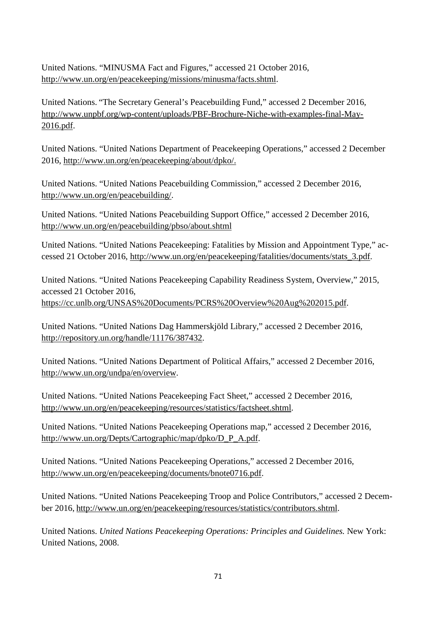United Nations. "MINUSMA Fact and Figures," accessed 21 October 2016, http://www.un.org/en/peacekeeping/missions/minusma/facts.shtml.

United Nations. "The Secretary General's Peacebuilding Fund," accessed 2 December 2016, http://www.unpbf.org/wp-content/uploads/PBF-Brochure-Niche-with-examples-final-May-2016.pdf.

United Nations. "United Nations Department of Peacekeeping Operations," accessed 2 December 2016, http://www.un.org/en/peacekeeping/about/dpko/.

United Nations. "United Nations Peacebuilding Commission," accessed 2 December 2016, http://www.un.org/en/peacebuilding/.

United Nations. "United Nations Peacebuilding Support Office," accessed 2 December 2016, http://www.un.org/en/peacebuilding/pbso/about.shtml

United Nations. "United Nations Peacekeeping: Fatalities by Mission and Appointment Type," accessed 21 October 2016, http://www.un.org/en/peacekeeping/fatalities/documents/stats\_3.pdf.

United Nations. "United Nations Peacekeeping Capability Readiness System, Overview," 2015, accessed 21 October 2016, https://cc.unlb.org/UNSAS%20Documents/PCRS%20Overview%20Aug%202015.pdf.

United Nations. "United Nations Dag Hammerskjöld Library," accessed 2 December 2016, http://repository.un.org/handle/11176/387432.

United Nations. "United Nations Department of Political Affairs," accessed 2 December 2016, http://www.un.org/undpa/en/overview.

United Nations. "United Nations Peacekeeping Fact Sheet," accessed 2 December 2016, http://www.un.org/en/peacekeeping/resources/statistics/factsheet.shtml.

United Nations. "United Nations Peacekeeping Operations map," accessed 2 December 2016, http://www.un.org/Depts/Cartographic/map/dpko/D\_P\_A.pdf.

United Nations. "United Nations Peacekeeping Operations," accessed 2 December 2016, http://www.un.org/en/peacekeeping/documents/bnote0716.pdf.

United Nations. "United Nations Peacekeeping Troop and Police Contributors," accessed 2 December 2016, http://www.un.org/en/peacekeeping/resources/statistics/contributors.shtml.

United Nations. *United Nations Peacekeeping Operations: Principles and Guidelines.* New York: United Nations, 2008.